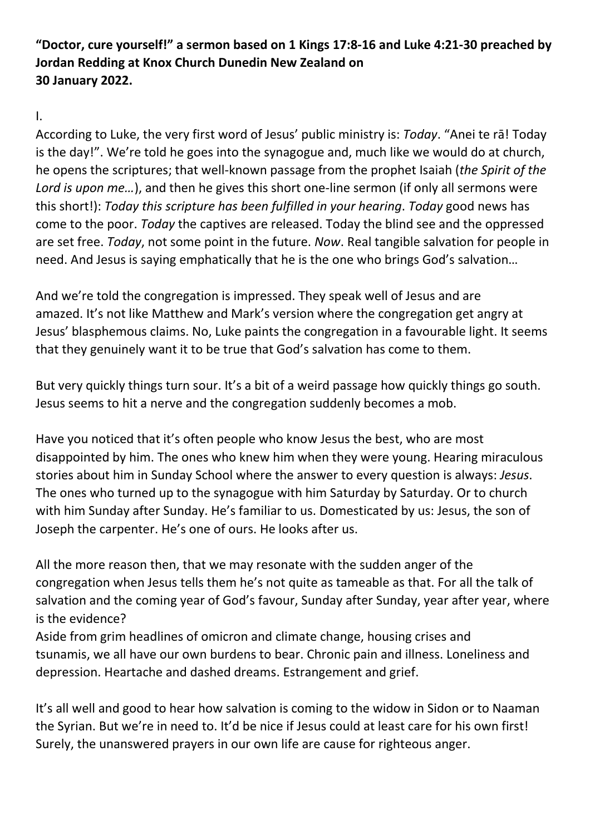"Doctor, cure yourself!" a sermon based on 1 Kings 17:8-16 and Luke 4:21-30 preached by Jordan Redding at Knox Church Dunedin New Zealand on 30 January 2022.

## I.

According to Luke, the very first word of Jesus' public ministry is: Today. "Anei te rā! Today is the day!". We're told he goes into the synagogue and, much like we would do at church, he opens the scriptures; that well-known passage from the prophet Isaiah (the Spirit of the Lord is upon me...), and then he gives this short one-line sermon (if only all sermons were this short!): Today this scripture has been fulfilled in your hearing. Today good news has come to the poor. Today the captives are released. Today the blind see and the oppressed are set free. Today, not some point in the future. Now. Real tangible salvation for people in need. And Jesus is saying emphatically that he is the one who brings God's salvation…

And we're told the congregation is impressed. They speak well of Jesus and are amazed. It's not like Matthew and Mark's version where the congregation get angry at Jesus' blasphemous claims. No, Luke paints the congregation in a favourable light. It seems that they genuinely want it to be true that God's salvation has come to them.

But very quickly things turn sour. It's a bit of a weird passage how quickly things go south. Jesus seems to hit a nerve and the congregation suddenly becomes a mob.

Have you noticed that it's often people who know Jesus the best, who are most disappointed by him. The ones who knew him when they were young. Hearing miraculous stories about him in Sunday School where the answer to every question is always: Jesus. The ones who turned up to the synagogue with him Saturday by Saturday. Or to church with him Sunday after Sunday. He's familiar to us. Domesticated by us: Jesus, the son of Joseph the carpenter. He's one of ours. He looks after us.

All the more reason then, that we may resonate with the sudden anger of the congregation when Jesus tells them he's not quite as tameable as that. For all the talk of salvation and the coming year of God's favour, Sunday after Sunday, year after year, where is the evidence?

Aside from grim headlines of omicron and climate change, housing crises and tsunamis, we all have our own burdens to bear. Chronic pain and illness. Loneliness and depression. Heartache and dashed dreams. Estrangement and grief.

It's all well and good to hear how salvation is coming to the widow in Sidon or to Naaman the Syrian. But we're in need to. It'd be nice if Jesus could at least care for his own first! Surely, the unanswered prayers in our own life are cause for righteous anger.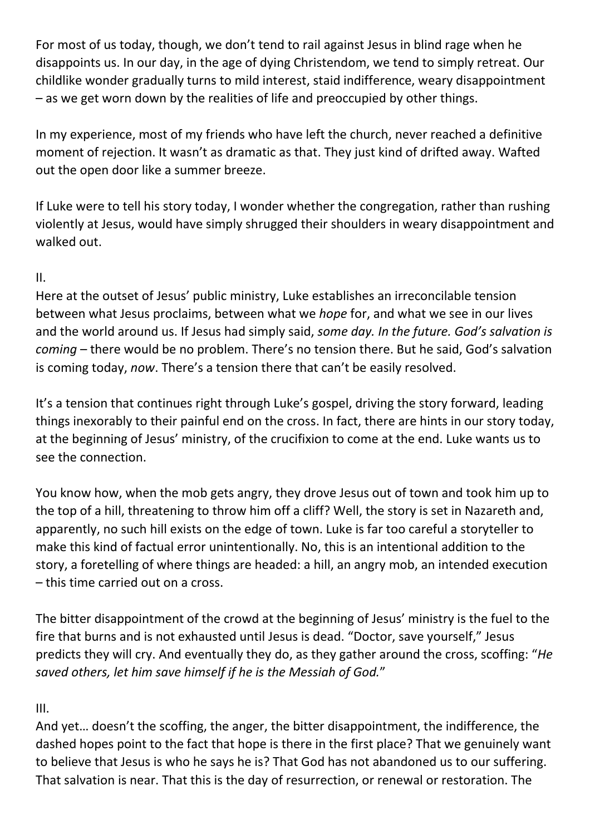For most of us today, though, we don't tend to rail against Jesus in blind rage when he disappoints us. In our day, in the age of dying Christendom, we tend to simply retreat. Our childlike wonder gradually turns to mild interest, staid indifference, weary disappointment – as we get worn down by the realities of life and preoccupied by other things.

In my experience, most of my friends who have left the church, never reached a definitive moment of rejection. It wasn't as dramatic as that. They just kind of drifted away. Wafted out the open door like a summer breeze.

If Luke were to tell his story today, I wonder whether the congregation, rather than rushing violently at Jesus, would have simply shrugged their shoulders in weary disappointment and walked out.

## II.

Here at the outset of Jesus' public ministry, Luke establishes an irreconcilable tension between what Jesus proclaims, between what we hope for, and what we see in our lives and the world around us. If Jesus had simply said, some day. In the future. God's salvation is coming – there would be no problem. There's no tension there. But he said, God's salvation is coming today, now. There's a tension there that can't be easily resolved.

It's a tension that continues right through Luke's gospel, driving the story forward, leading things inexorably to their painful end on the cross. In fact, there are hints in our story today, at the beginning of Jesus' ministry, of the crucifixion to come at the end. Luke wants us to see the connection.

You know how, when the mob gets angry, they drove Jesus out of town and took him up to the top of a hill, threatening to throw him off a cliff? Well, the story is set in Nazareth and, apparently, no such hill exists on the edge of town. Luke is far too careful a storyteller to make this kind of factual error unintentionally. No, this is an intentional addition to the story, a foretelling of where things are headed: a hill, an angry mob, an intended execution – this time carried out on a cross.

The bitter disappointment of the crowd at the beginning of Jesus' ministry is the fuel to the fire that burns and is not exhausted until Jesus is dead. "Doctor, save yourself," Jesus predicts they will cry. And eventually they do, as they gather around the cross, scoffing: "He saved others, let him save himself if he is the Messiah of God."

## III.

And yet… doesn't the scoffing, the anger, the bitter disappointment, the indifference, the dashed hopes point to the fact that hope is there in the first place? That we genuinely want to believe that Jesus is who he says he is? That God has not abandoned us to our suffering. That salvation is near. That this is the day of resurrection, or renewal or restoration. The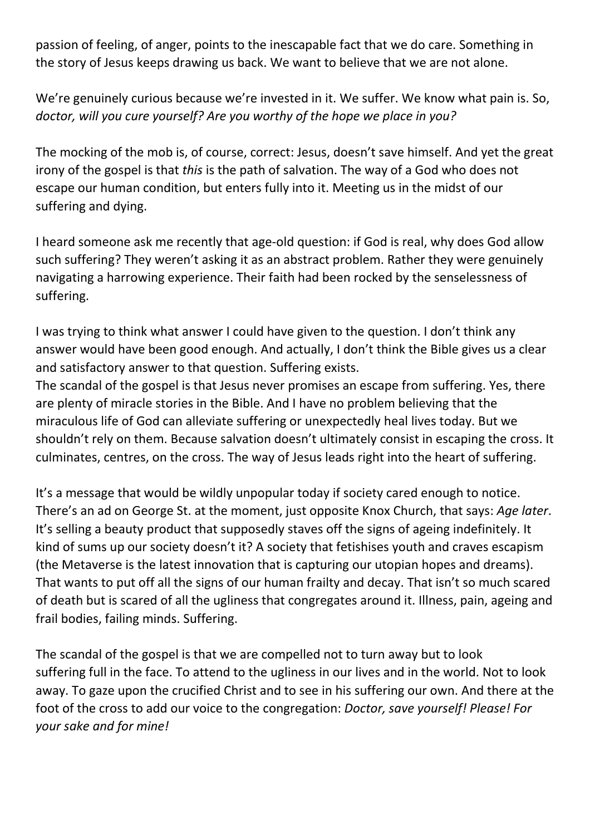passion of feeling, of anger, points to the inescapable fact that we do care. Something in the story of Jesus keeps drawing us back. We want to believe that we are not alone.

We're genuinely curious because we're invested in it. We suffer. We know what pain is. So, doctor, will you cure yourself? Are you worthy of the hope we place in you?

The mocking of the mob is, of course, correct: Jesus, doesn't save himself. And yet the great irony of the gospel is that this is the path of salvation. The way of a God who does not escape our human condition, but enters fully into it. Meeting us in the midst of our suffering and dying.

I heard someone ask me recently that age-old question: if God is real, why does God allow such suffering? They weren't asking it as an abstract problem. Rather they were genuinely navigating a harrowing experience. Their faith had been rocked by the senselessness of suffering.

I was trying to think what answer I could have given to the question. I don't think any answer would have been good enough. And actually, I don't think the Bible gives us a clear and satisfactory answer to that question. Suffering exists.

The scandal of the gospel is that Jesus never promises an escape from suffering. Yes, there are plenty of miracle stories in the Bible. And I have no problem believing that the miraculous life of God can alleviate suffering or unexpectedly heal lives today. But we shouldn't rely on them. Because salvation doesn't ultimately consist in escaping the cross. It culminates, centres, on the cross. The way of Jesus leads right into the heart of suffering.

It's a message that would be wildly unpopular today if society cared enough to notice. There's an ad on George St. at the moment, just opposite Knox Church, that says: Age later. It's selling a beauty product that supposedly staves off the signs of ageing indefinitely. It kind of sums up our society doesn't it? A society that fetishises youth and craves escapism (the Metaverse is the latest innovation that is capturing our utopian hopes and dreams). That wants to put off all the signs of our human frailty and decay. That isn't so much scared of death but is scared of all the ugliness that congregates around it. Illness, pain, ageing and frail bodies, failing minds. Suffering.

The scandal of the gospel is that we are compelled not to turn away but to look suffering full in the face. To attend to the ugliness in our lives and in the world. Not to look away. To gaze upon the crucified Christ and to see in his suffering our own. And there at the foot of the cross to add our voice to the congregation: Doctor, save yourself! Please! For your sake and for mine!